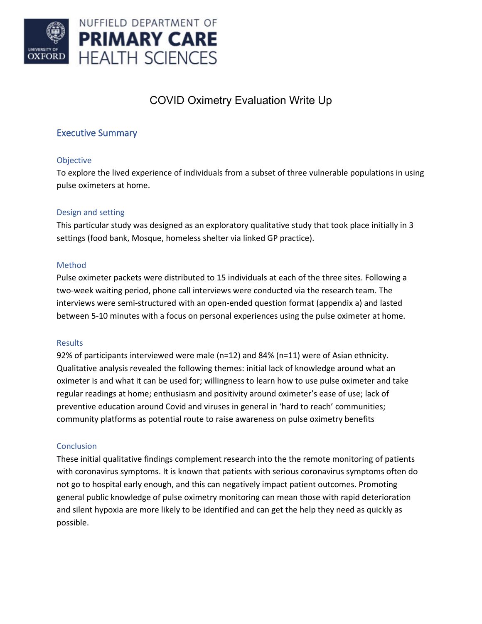

# COVID Oximetry Evaluation Write Up

# Executive Summary

### Objective

To explore the lived experience of individuals from a subset of three vulnerable populations in using pulse oximeters at home.

### Design and setting

This particular study was designed as an exploratory qualitative study that took place initially in 3 settings (food bank, Mosque, homeless shelter via linked GP practice).

### Method

Pulse oximeter packets were distributed to 15 individuals at each of the three sites. Following a two-week waiting period, phone call interviews were conducted via the research team. The interviews were semi-structured with an open-ended question format (appendix a) and lasted between 5-10 minutes with a focus on personal experiences using the pulse oximeter at home.

### Results

92% of participants interviewed were male (n=12) and 84% (n=11) were of Asian ethnicity. Qualitative analysis revealed the following themes: initial lack of knowledge around what an oximeter is and what it can be used for; willingness to learn how to use pulse oximeter and take regular readings at home; enthusiasm and positivity around oximeter's ease of use; lack of preventive education around Covid and viruses in general in 'hard to reach' communities; community platforms as potential route to raise awareness on pulse oximetry benefits

### **Conclusion**

These initial qualitative findings complement research into the the remote monitoring of patients with coronavirus symptoms. It is known that patients with serious coronavirus symptoms often do not go to hospital early enough, and this can negatively impact patient outcomes. Promoting general public knowledge of pulse oximetry monitoring can mean those with rapid deterioration and silent hypoxia are more likely to be identified and can get the help they need as quickly as possible.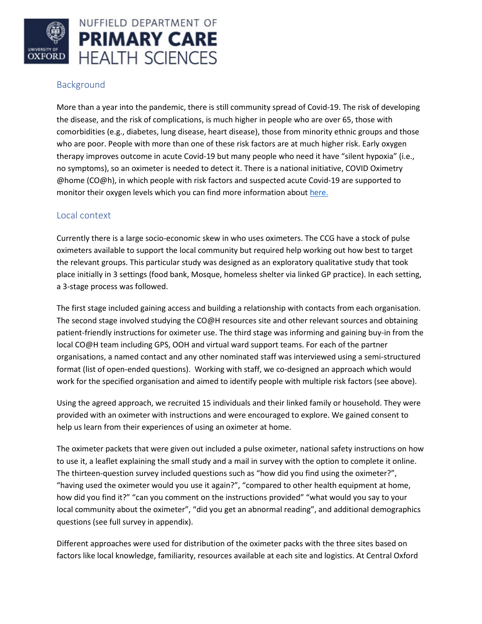

## Background

More than a year into the pandemic, there is still community spread of Covid-19. The risk of developing the disease, and the risk of complications, is much higher in people who are over 65, those with comorbidities (e.g., diabetes, lung disease, heart disease), those from minority ethnic groups and those who are poor. People with more than one of these risk factors are at much higher risk. Early oxygen therapy improves outcome in acute Covid-19 but many people who need it have "silent hypoxia" (i.e., no symptoms), so an oximeter is needed to detect it. There is a national initiative, COVID Oximetry @home (CO@h), in which people with risk factors and suspected acute Covid-19 are supported to monitor their oxygen levels which you can find more information about [here.](https://www.england.nhs.uk/nhs-at-home/covid-oximetry-at-home/)

### Local context

Currently there is a large socio-economic skew in who uses oximeters. The CCG have a stock of pulse oximeters available to support the local community but required help working out how best to target the relevant groups. This particular study was designed as an exploratory qualitative study that took place initially in 3 settings (food bank, Mosque, homeless shelter via linked GP practice). In each setting, a 3-stage process was followed.

The first stage included gaining access and building a relationship with contacts from each organisation. The second stage involved studying the CO@H resources site and other relevant sources and obtaining patient-friendly instructions for oximeter use. The third stage was informing and gaining buy-in from the local CO@H team including GPS, OOH and virtual ward support teams. For each of the partner organisations, a named contact and any other nominated staff was interviewed using a semi-structured format (list of open-ended questions). Working with staff, we co-designed an approach which would work for the specified organisation and aimed to identify people with multiple risk factors (see above).

Using the agreed approach, we recruited 15 individuals and their linked family or household. They were provided with an oximeter with instructions and were encouraged to explore. We gained consent to help us learn from their experiences of using an oximeter at home.

The oximeter packets that were given out included a pulse oximeter, national safety instructions on how to use it, a leaflet explaining the small study and a mail in survey with the option to complete it online. The thirteen-question survey included questions such as "how did you find using the oximeter?", "having used the oximeter would you use it again?", "compared to other health equipment at home, how did you find it?" "can you comment on the instructions provided" "what would you say to your local community about the oximeter", "did you get an abnormal reading", and additional demographics questions (see full survey in appendix).

Different approaches were used for distribution of the oximeter packs with the three sites based on factors like local knowledge, familiarity, resources available at each site and logistics. At Central Oxford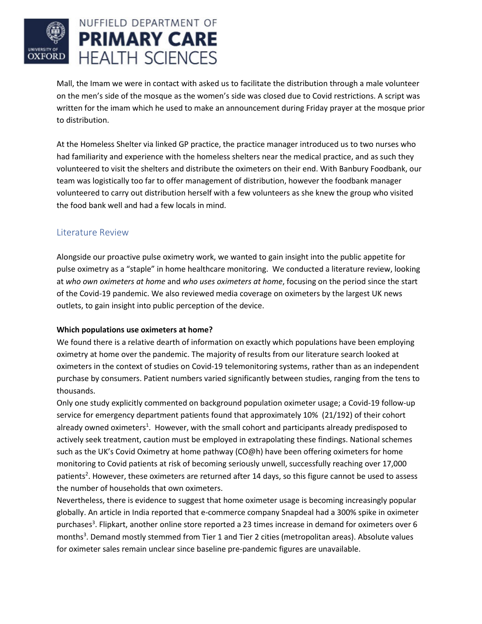

Mall, the Imam we were in contact with asked us to facilitate the distribution through a male volunteer on the men's side of the mosque as the women's side was closed due to Covid restrictions. A script was written for the imam which he used to make an announcement during Friday prayer at the mosque prior to distribution.

At the Homeless Shelter via linked GP practice, the practice manager introduced us to two nurses who had familiarity and experience with the homeless shelters near the medical practice, and as such they volunteered to visit the shelters and distribute the oximeters on their end. With Banbury Foodbank, our team was logistically too far to offer management of distribution, however the foodbank manager volunteered to carry out distribution herself with a few volunteers as she knew the group who visited the food bank well and had a few locals in mind.

## Literature Review

Alongside our proactive pulse oximetry work, we wanted to gain insight into the public appetite for pulse oximetry as a "staple" in home healthcare monitoring. We conducted a literature review, looking at *who own oximeters at home* and *who uses oximeters at home*, focusing on the period since the start of the Covid-19 pandemic. We also reviewed media coverage on oximeters by the largest UK news outlets, to gain insight into public perception of the device.

### **Which populations use oximeters at home?**

We found there is a relative dearth of information on exactly which populations have been employing oximetry at home over the pandemic. The majority of results from our literature search looked at oximeters in the context of studies on Covid-19 telemonitoring systems, rather than as an independent purchase by consumers. Patient numbers varied significantly between studies, ranging from the tens to thousands.

Only one study explicitly commented on background population oximeter usage; a Covid-19 follow-up service for emergency department patients found that approximately 10% (21/192) of their cohort already owned oximeters<sup>1</sup>. However, with the small cohort and participants already predisposed to actively seek treatment, caution must be employed in extrapolating these findings. National schemes such as the UK's Covid Oximetry at home pathway (CO@h) have been offering oximeters for home monitoring to Covid patients at risk of becoming seriously unwell, successfully reaching over 17,000 patients<sup>2</sup>. However, these oximeters are returned after 14 days, so this figure cannot be used to assess the number of households that own oximeters.

Nevertheless, there is evidence to suggest that home oximeter usage is becoming increasingly popular globally. An article in India reported that e-commerce company Snapdeal had a 300% spike in oximeter purchases<sup>3</sup>. Flipkart, another online store reported a 23 times increase in demand for oximeters over 6 months<sup>3</sup>. Demand mostly stemmed from Tier 1 and Tier 2 cities (metropolitan areas). Absolute values for oximeter sales remain unclear since baseline pre-pandemic figures are unavailable.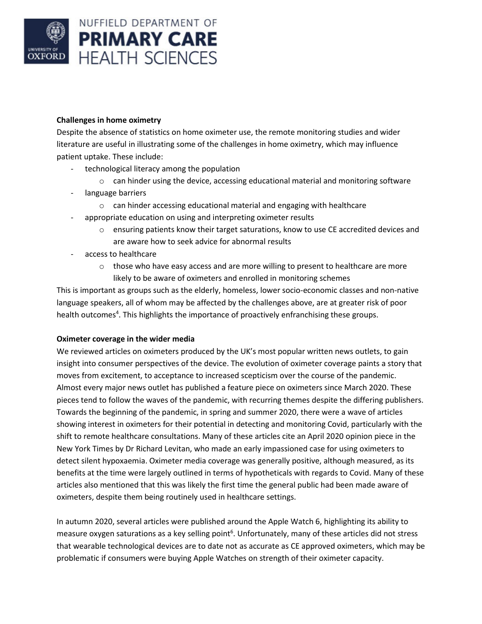

### **Challenges in home oximetry**

Despite the absence of statistics on home oximeter use, the remote monitoring studies and wider literature are useful in illustrating some of the challenges in home oximetry, which may influence patient uptake. These include:

- technological literacy among the population
	- $\circ$  can hinder using the device, accessing educational material and monitoring software
- language barriers
	- o can hinder accessing educational material and engaging with healthcare
- appropriate education on using and interpreting oximeter results
	- o ensuring patients know their target saturations, know to use CE accredited devices and are aware how to seek advice for abnormal results
- access to healthcare
	- $\circ$  those who have easy access and are more willing to present to healthcare are more likely to be aware of oximeters and enrolled in monitoring schemes

This is important as groups such as the elderly, homeless, lower socio-economic classes and non-native language speakers, all of whom may be affected by the challenges above, are at greater risk of poor health outcomes<sup>4</sup>. This highlights the importance of proactively enfranchising these groups.

### **Oximeter coverage in the wider media**

We reviewed articles on oximeters produced by the UK's most popular written news outlets, to gain insight into consumer perspectives of the device. The evolution of oximeter coverage paints a story that moves from excitement, to acceptance to increased scepticism over the course of the pandemic. Almost every major news outlet has published a feature piece on oximeters since March 2020. These pieces tend to follow the waves of the pandemic, with recurring themes despite the differing publishers. Towards the beginning of the pandemic, in spring and summer 2020, there were a wave of articles showing interest in oximeters for their potential in detecting and monitoring Covid, particularly with the shift to remote healthcare consultations. Many of these articles cite an April 2020 opinion piece in the New York Times by Dr Richard Levitan, who made an early impassioned case for using oximeters to detect silent hypoxaemia. Oximeter media coverage was generally positive, although measured, as its benefits at the time were largely outlined in terms of hypotheticals with regards to Covid. Many of these articles also mentioned that this was likely the first time the general public had been made aware of oximeters, despite them being routinely used in healthcare settings.

In autumn 2020, several articles were published around the Apple Watch 6, highlighting its ability to measure oxygen saturations as a key selling point<sup>6</sup>. Unfortunately, many of these articles did not stress that wearable technological devices are to date not as accurate as CE approved oximeters, which may be problematic if consumers were buying Apple Watches on strength of their oximeter capacity.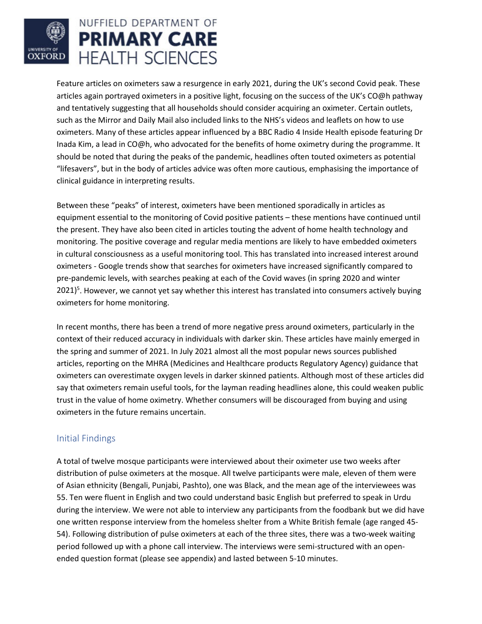

Feature articles on oximeters saw a resurgence in early 2021, during the UK's second Covid peak. These articles again portrayed oximeters in a positive light, focusing on the success of the UK's CO@h pathway and tentatively suggesting that all households should consider acquiring an oximeter. Certain outlets, such as the Mirror and Daily Mail also included links to the NHS's videos and leaflets on how to use oximeters. Many of these articles appear influenced by a BBC Radio 4 Inside Health episode featuring Dr Inada Kim, a lead in CO@h, who advocated for the benefits of home oximetry during the programme. It should be noted that during the peaks of the pandemic, headlines often touted oximeters as potential "lifesavers", but in the body of articles advice was often more cautious, emphasising the importance of clinical guidance in interpreting results.

Between these "peaks" of interest, oximeters have been mentioned sporadically in articles as equipment essential to the monitoring of Covid positive patients – these mentions have continued until the present. They have also been cited in articles touting the advent of home health technology and monitoring. The positive coverage and regular media mentions are likely to have embedded oximeters in cultural consciousness as a useful monitoring tool. This has translated into increased interest around oximeters - Google trends show that searches for oximeters have increased significantly compared to pre-pandemic levels, with searches peaking at each of the Covid waves (in spring 2020 and winter 2021)<sup>5</sup>. However, we cannot yet say whether this interest has translated into consumers actively buying oximeters for home monitoring.

In recent months, there has been a trend of more negative press around oximeters, particularly in the context of their reduced accuracy in individuals with darker skin. These articles have mainly emerged in the spring and summer of 2021. In July 2021 almost all the most popular news sources published articles, reporting on the MHRA (Medicines and Healthcare products Regulatory Agency) guidance that oximeters can overestimate oxygen levels in darker skinned patients. Although most of these articles did say that oximeters remain useful tools, for the layman reading headlines alone, this could weaken public trust in the value of home oximetry. Whether consumers will be discouraged from buying and using oximeters in the future remains uncertain.

## Initial Findings

A total of twelve mosque participants were interviewed about their oximeter use two weeks after distribution of pulse oximeters at the mosque. All twelve participants were male, eleven of them were of Asian ethnicity (Bengali, Punjabi, Pashto), one was Black, and the mean age of the interviewees was 55. Ten were fluent in English and two could understand basic English but preferred to speak in Urdu during the interview. We were not able to interview any participants from the foodbank but we did have one written response interview from the homeless shelter from a White British female (age ranged 45- 54). Following distribution of pulse oximeters at each of the three sites, there was a two-week waiting period followed up with a phone call interview. The interviews were semi-structured with an openended question format (please see appendix) and lasted between 5-10 minutes.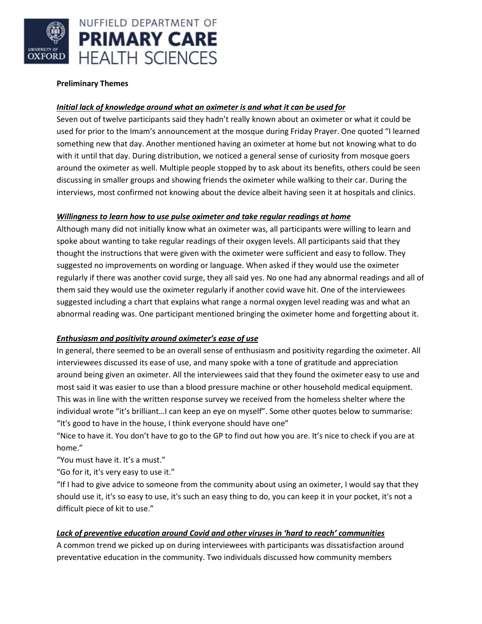

#### **Preliminary Themes**

### *Initial lack of knowledge around what an oximeter is and what it can be used for*

Seven out of twelve participants said they hadn't really known about an oximeter or what it could be used for prior to the Imam's announcement at the mosque during Friday Prayer. One quoted "I learned something new that day. Another mentioned having an oximeter at home but not knowing what to do with it until that day. During distribution, we noticed a general sense of curiosity from mosque goers around the oximeter as well. Multiple people stopped by to ask about its benefits, others could be seen discussing in smaller groups and showing friends the oximeter while walking to their car. During the interviews, most confirmed not knowing about the device albeit having seen it at hospitals and clinics.

### *Willingness to learn how to use pulse oximeter and take regular readings at home*

Although many did not initially know what an oximeter was, all participants were willing to learn and spoke about wanting to take regular readings of their oxygen levels. All participants said that they thought the instructions that were given with the oximeter were sufficient and easy to follow. They suggested no improvements on wording or language. When asked if they would use the oximeter regularly if there was another covid surge, they all said yes. No one had any abnormal readings and all of them said they would use the oximeter regularly if another covid wave hit. One of the interviewees suggested including a chart that explains what range a normal oxygen level reading was and what an abnormal reading was. One participant mentioned bringing the oximeter home and forgetting about it.

### *Enthusiasm and positivity around oximeter's ease of use*

In general, there seemed to be an overall sense of enthusiasm and positivity regarding the oximeter. All interviewees discussed its ease of use, and many spoke with a tone of gratitude and appreciation around being given an oximeter. All the interviewees said that they found the oximeter easy to use and most said it was easier to use than a blood pressure machine or other household medical equipment. This was in line with the written response survey we received from the homeless shelter where the individual wrote "it's brilliant…I can keep an eye on myself". Some other quotes below to summarise: "It's good to have in the house, I think everyone should have one"

"Nice to have it. You don't have to go to the GP to find out how you are. It's nice to check if you are at home."

"You must have it. It's a must."

"Go for it, it's very easy to use it."

"If I had to give advice to someone from the community about using an oximeter, I would say that they should use it, it's so easy to use, it's such an easy thing to do, you can keep it in your pocket, it's not a difficult piece of kit to use."

### *Lack of preventive education around Covid and other viruses in 'hard to reach' communities*

A common trend we picked up on during interviewees with participants was dissatisfaction around preventative education in the community. Two individuals discussed how community members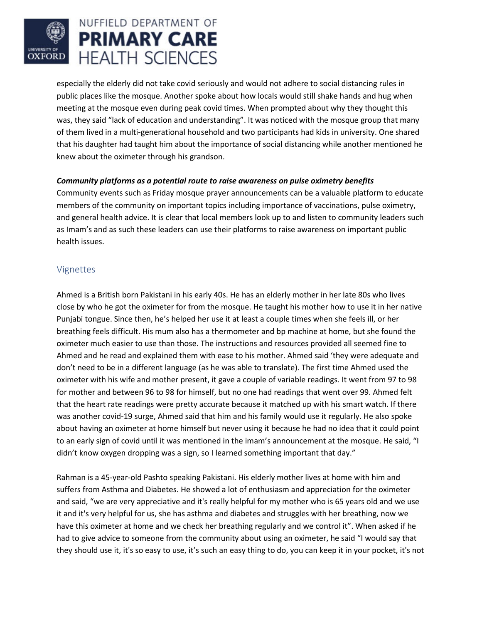

especially the elderly did not take covid seriously and would not adhere to social distancing rules in public places like the mosque. Another spoke about how locals would still shake hands and hug when meeting at the mosque even during peak covid times. When prompted about why they thought this was, they said "lack of education and understanding". It was noticed with the mosque group that many of them lived in a multi-generational household and two participants had kids in university. One shared that his daughter had taught him about the importance of social distancing while another mentioned he knew about the oximeter through his grandson.

### *Community platforms as a potential route to raise awareness on pulse oximetry benefits*

Community events such as Friday mosque prayer announcements can be a valuable platform to educate members of the community on important topics including importance of vaccinations, pulse oximetry, and general health advice. It is clear that local members look up to and listen to community leaders such as Imam's and as such these leaders can use their platforms to raise awareness on important public health issues.

## Vignettes

Ahmed is a British born Pakistani in his early 40s. He has an elderly mother in her late 80s who lives close by who he got the oximeter for from the mosque. He taught his mother how to use it in her native Punjabi tongue. Since then, he's helped her use it at least a couple times when she feels ill, or her breathing feels difficult. His mum also has a thermometer and bp machine at home, but she found the oximeter much easier to use than those. The instructions and resources provided all seemed fine to Ahmed and he read and explained them with ease to his mother. Ahmed said 'they were adequate and don't need to be in a different language (as he was able to translate). The first time Ahmed used the oximeter with his wife and mother present, it gave a couple of variable readings. It went from 97 to 98 for mother and between 96 to 98 for himself, but no one had readings that went over 99. Ahmed felt that the heart rate readings were pretty accurate because it matched up with his smart watch. If there was another covid-19 surge, Ahmed said that him and his family would use it regularly. He also spoke about having an oximeter at home himself but never using it because he had no idea that it could point to an early sign of covid until it was mentioned in the imam's announcement at the mosque. He said, "I didn't know oxygen dropping was a sign, so I learned something important that day."

Rahman is a 45-year-old Pashto speaking Pakistani. His elderly mother lives at home with him and suffers from Asthma and Diabetes. He showed a lot of enthusiasm and appreciation for the oximeter and said, "we are very appreciative and it's really helpful for my mother who is 65 years old and we use it and it's very helpful for us, she has asthma and diabetes and struggles with her breathing, now we have this oximeter at home and we check her breathing regularly and we control it". When asked if he had to give advice to someone from the community about using an oximeter, he said "I would say that they should use it, it's so easy to use, it's such an easy thing to do, you can keep it in your pocket, it's not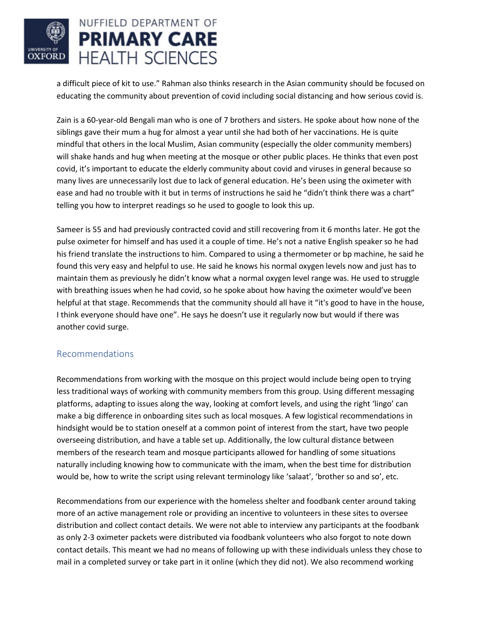

a difficult piece of kit to use." Rahman also thinks research in the Asian community should be focused on educating the community about prevention of covid including social distancing and how serious covid is.

Zain is a 60-year-old Bengali man who is one of 7 brothers and sisters. He spoke about how none of the siblings gave their mum a hug for almost a year until she had both of her vaccinations. He is quite mindful that others in the local Muslim, Asian community (especially the older community members) will shake hands and hug when meeting at the mosque or other public places. He thinks that even post covid, it's important to educate the elderly community about covid and viruses in general because so many lives are unnecessarily lost due to lack of general education. He's been using the oximeter with ease and had no trouble with it but in terms of instructions he said he "didn't think there was a chart" telling you how to interpret readings so he used to google to look this up.

Sameer is 55 and had previously contracted covid and still recovering from it 6 months later. He got the pulse oximeter for himself and has used it a couple of time. He's not a native English speaker so he had his friend translate the instructions to him. Compared to using a thermometer or bp machine, he said he found this very easy and helpful to use. He said he knows his normal oxygen levels now and just has to maintain them as previously he didn't know what a normal oxygen level range was. He used to struggle with breathing issues when he had covid, so he spoke about how having the oximeter would've been helpful at that stage. Recommends that the community should all have it "it's good to have in the house, I think everyone should have one". He says he doesn't use it regularly now but would if there was another covid surge.

### Recommendations

Recommendations from working with the mosque on this project would include being open to trying less traditional ways of working with community members from this group. Using different messaging platforms, adapting to issues along the way, looking at comfort levels, and using the right 'lingo' can make a big difference in onboarding sites such as local mosques. A few logistical recommendations in hindsight would be to station oneself at a common point of interest from the start, have two people overseeing distribution, and have a table set up. Additionally, the low cultural distance between members of the research team and mosque participants allowed for handling of some situations naturally including knowing how to communicate with the imam, when the best time for distribution would be, how to write the script using relevant terminology like 'salaat', 'brother so and so', etc.

Recommendations from our experience with the homeless shelter and foodbank center around taking more of an active management role or providing an incentive to volunteers in these sites to oversee distribution and collect contact details. We were not able to interview any participants at the foodbank as only 2-3 oximeter packets were distributed via foodbank volunteers who also forgot to note down contact details. This meant we had no means of following up with these individuals unless they chose to mail in a completed survey or take part in it online (which they did not). We also recommend working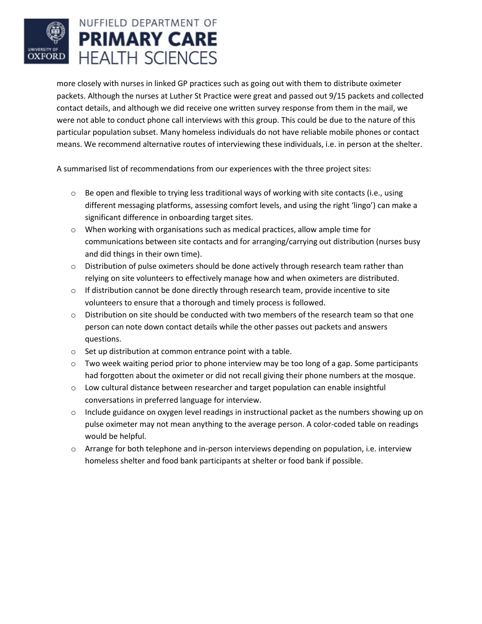# NUFFIELD DEPARTMENT OF **PRIMARY CARE HEALTH SCIENCES OXFORD**

more closely with nurses in linked GP practices such as going out with them to distribute oximeter packets. Although the nurses at Luther St Practice were great and passed out 9/15 packets and collected contact details, and although we did receive one written survey response from them in the mail, we were not able to conduct phone call interviews with this group. This could be due to the nature of this particular population subset. Many homeless individuals do not have reliable mobile phones or contact means. We recommend alternative routes of interviewing these individuals, i.e. in person at the shelter.

A summarised list of recommendations from our experiences with the three project sites:

- $\circ$  Be open and flexible to trying less traditional ways of working with site contacts (i.e., using different messaging platforms, assessing comfort levels, and using the right 'lingo') can make a significant difference in onboarding target sites.
- $\circ$  When working with organisations such as medical practices, allow ample time for communications between site contacts and for arranging/carrying out distribution (nurses busy and did things in their own time).
- $\circ$  Distribution of pulse oximeters should be done actively through research team rather than relying on site volunteers to effectively manage how and when oximeters are distributed.
- $\circ$  If distribution cannot be done directly through research team, provide incentive to site volunteers to ensure that a thorough and timely process is followed.
- $\circ$  Distribution on site should be conducted with two members of the research team so that one person can note down contact details while the other passes out packets and answers questions.
- o Set up distribution at common entrance point with a table.
- $\circ$  Two week waiting period prior to phone interview may be too long of a gap. Some participants had forgotten about the oximeter or did not recall giving their phone numbers at the mosque.
- o Low cultural distance between researcher and target population can enable insightful conversations in preferred language for interview.
- $\circ$  Include guidance on oxygen level readings in instructional packet as the numbers showing up on pulse oximeter may not mean anything to the average person. A color-coded table on readings would be helpful.
- $\circ$  Arrange for both telephone and in-person interviews depending on population, i.e. interview homeless shelter and food bank participants at shelter or food bank if possible.